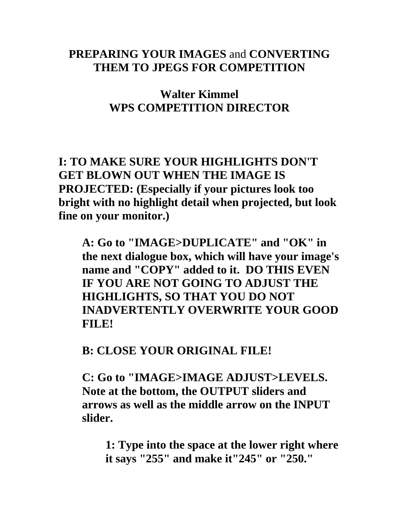#### **PREPARING YOUR IMAGES** and **CONVERTING THEM TO JPEGS FOR COMPETITION**

**Walter Kimmel WPS COMPETITION DIRECTOR** 

**I: TO MAKE SURE YOUR HIGHLIGHTS DON'T GET BLOWN OUT WHEN THE IMAGE IS PROJECTED: (Especially if your pictures look too bright with no highlight detail when projected, but look fine on your monitor.)** 

 **A: Go to "IMAGE>DUPLICATE" and "OK" in the next dialogue box, which will have your image's name and "COPY" added to it. DO THIS EVEN IF YOU ARE NOT GOING TO ADJUST THE HIGHLIGHTS, SO THAT YOU DO NOT INADVERTENTLY OVERWRITE YOUR GOOD FILE!** 

 **B: CLOSE YOUR ORIGINAL FILE!** 

 **C: Go to "IMAGE>IMAGE ADJUST>LEVELS. Note at the bottom, the OUTPUT sliders and arrows as well as the middle arrow on the INPUT slider.** 

 **1: Type into the space at the lower right where it says "255" and make it"245" or "250."**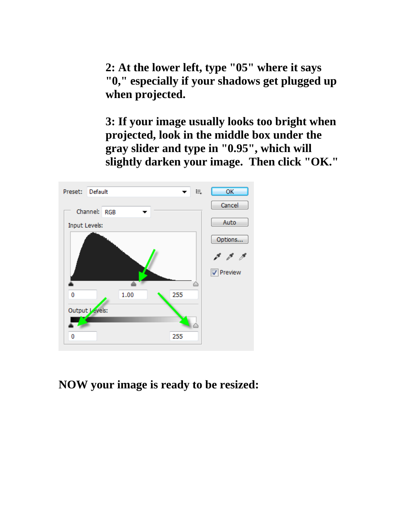**2: At the lower left, type "05" where it says "0," especially if your shadows get plugged up when projected.** 

 **3: If your image usually looks too bright when projected, look in the middle box under the gray slider and type in "0.95", which will slightly darken your image. Then click "OK."** 



#### **NOW your image is ready to be resized:**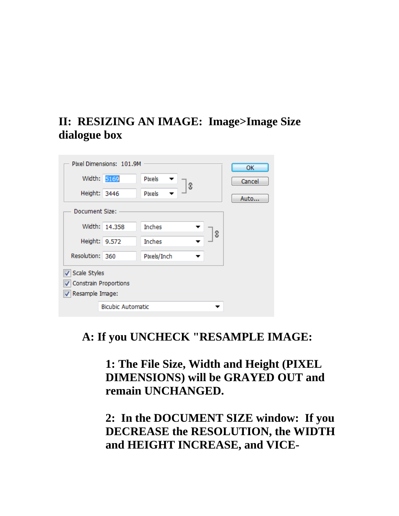## **II: RESIZING AN IMAGE: Image>Image Size dialogue box**

|                       | Pixel Dimensions: 101.9M |               |   |   | ОК     |
|-----------------------|--------------------------|---------------|---|---|--------|
| Width: 5169           |                          | Pixels        | 3 |   | Cancel |
| Height: 3446          |                          | Pixels        |   |   | Auto   |
| Document Size:        |                          |               |   |   |        |
|                       | Width: 14.358            | <b>Inches</b> |   | 3 |        |
| Height: 9.572         |                          | <b>Inches</b> |   |   |        |
| Resolution: 360       |                          | Pixels/Inch   |   |   |        |
| √ Scale Styles        |                          |               |   |   |        |
| Constrain Proportions |                          |               |   |   |        |
| √ Resample Image:     |                          |               |   |   |        |
|                       | <b>Bicubic Automatic</b> |               |   |   |        |

### **A: If you UNCHECK "RESAMPLE IMAGE:**

 **1: The File Size, Width and Height (PIXEL DIMENSIONS) will be GRAYED OUT and remain UNCHANGED.** 

 **2: In the DOCUMENT SIZE window: If you DECREASE the RESOLUTION, the WIDTH and HEIGHT INCREASE, and VICE-**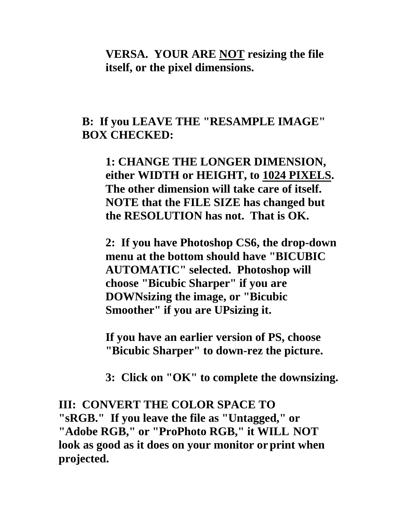**VERSA. YOUR ARE NOT resizing the file itself, or the pixel dimensions.** 

#### **B: If you LEAVE THE "RESAMPLE IMAGE" BOX CHECKED:**

 **1: CHANGE THE LONGER DIMENSION, either WIDTH or HEIGHT, to 1024 PIXELS. The other dimension will take care of itself. NOTE that the FILE SIZE has changed but the RESOLUTION has not. That is OK.** 

 **2: If you have Photoshop CS6, the drop-down menu at the bottom should have "BICUBIC AUTOMATIC" selected. Photoshop will choose "Bicubic Sharper" if you are DOWNsizing the image, or "Bicubic Smoother" if you are UPsizing it.** 

 **If you have an earlier version of PS, choose "Bicubic Sharper" to down-rez the picture.** 

 **3: Click on "OK" to complete the downsizing.** 

**III: CONVERT THE COLOR SPACE TO "sRGB." If you leave the file as "Untagged," or "Adobe RGB," or "ProPhoto RGB," it WILL NOT look as good as it does on your monitor or print when projected.**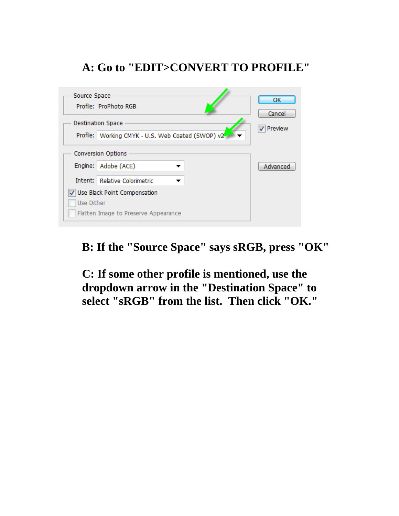## **A: Go to "EDIT>CONVERT TO PROFILE"**

| Source Space                         | Profile: ProPhoto RGB                                                         |  | ОК<br>Cancel |  |  |
|--------------------------------------|-------------------------------------------------------------------------------|--|--------------|--|--|
|                                      | <b>Destination Space</b><br>Profile: Working CMYK - U.S. Web Coated (SWOP) v2 |  | Preview      |  |  |
|                                      | <b>Conversion Options</b>                                                     |  |              |  |  |
|                                      | Engine: Adobe (ACE)                                                           |  | Advanced     |  |  |
|                                      | Intent: Relative Colorimetric                                                 |  |              |  |  |
|                                      | Use Black Point Compensation                                                  |  |              |  |  |
| Use Dither                           |                                                                               |  |              |  |  |
| Flatten Image to Preserve Appearance |                                                                               |  |              |  |  |

### **B: If the "Source Space" says sRGB, press "OK"**

 **C: If some other profile is mentioned, use the dropdown arrow in the "Destination Space" to select "sRGB" from the list. Then click "OK."**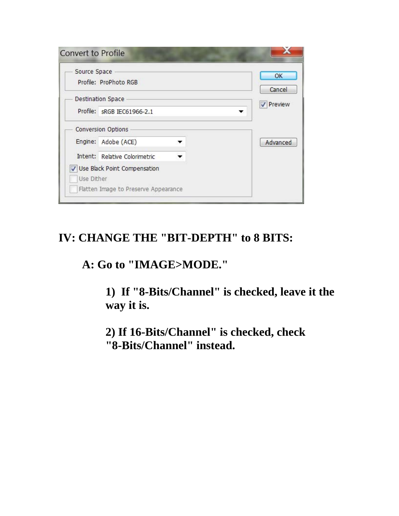| Source Space | Profile: ProPhoto RGB           |  | OK<br>Cancel |
|--------------|---------------------------------|--|--------------|
|              | <b>Destination Space</b>        |  | Preview      |
|              | Profile: sRGB IEC61966-2.1<br>▼ |  |              |
|              | <b>Conversion Options</b>       |  |              |
|              | Engine: Adobe (ACE)             |  | Advanced     |
|              | Intent: Relative Colorimetric   |  |              |
|              | Use Black Point Compensation    |  |              |

## **IV: CHANGE THE "BIT-DEPTH" to 8 BITS:**

 **A: Go to "IMAGE>MODE."** 

 **1) If "8-Bits/Channel" is checked, leave it the way it is.** 

 **2) If 16-Bits/Channel" is checked, check "8-Bits/Channel" instead.**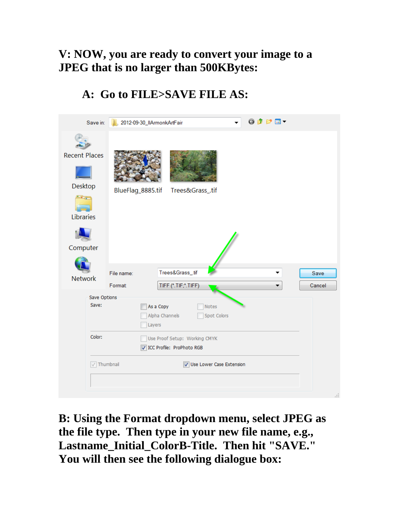### **V: NOW, you are ready to convert your image to a JPEG that is no larger than 500KBytes:**

# **A: Go to FILE>SAVE FILE AS:**

| Save in:                                                                    | 2012-09-30_IIArmonkArtFair |                                                                                                     | ◎まず田▼ |                |
|-----------------------------------------------------------------------------|----------------------------|-----------------------------------------------------------------------------------------------------|-------|----------------|
| <b>Recent Places</b><br>Desktop<br><b>START OF</b><br>Libraries<br>Computer | BlueFlag_8885.tif          | Trees&Grass_.tif                                                                                    |       |                |
| <b>Network</b>                                                              | File name:<br>Format       | Trees&Grass_.tif<br>TIFF (*.TIF;*.TIFF)                                                             |       | Save<br>Cancel |
| Save Options<br>Save:<br>Color:                                             | As a Copy<br>Layers        | Notes<br>Alpha Channels<br>Spot Colors<br>Use Proof Setup: Working CMYK<br>CC Profile: ProPhoto RGB |       |                |
| $\sqrt{ }$ Thumbnail                                                        |                            | Use Lower Case Extension                                                                            |       | ă              |

**B: Using the Format dropdown menu, select JPEG as the file type. Then type in your new file name, e.g., Lastname\_Initial\_ColorB-Title. Then hit "SAVE." You will then see the following dialogue box:**